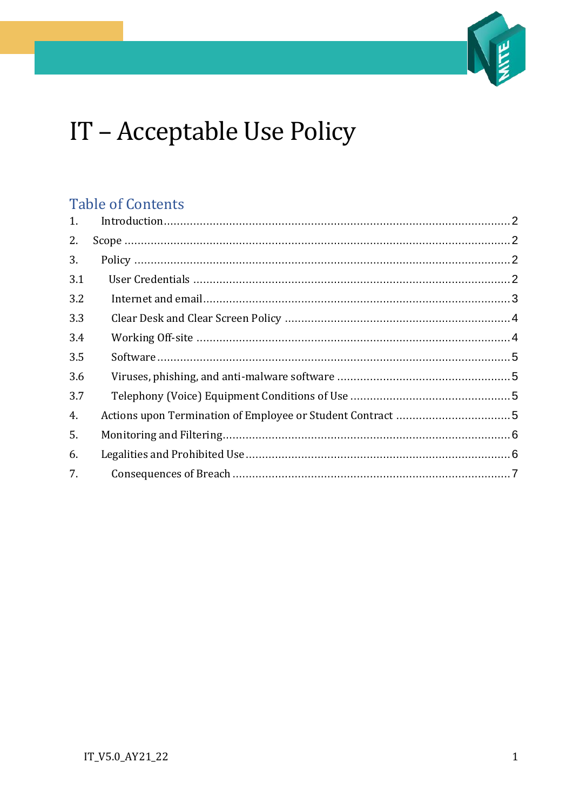

# IT - Acceptable Use Policy

## **Table of Contents**

| 1.  |  |
|-----|--|
| 2.  |  |
| 3.  |  |
| 3.1 |  |
| 3.2 |  |
| 3.3 |  |
| 3.4 |  |
| 3.5 |  |
| 3.6 |  |
| 3.7 |  |
| 4.  |  |
| 5.  |  |
| 6.  |  |
| 7.  |  |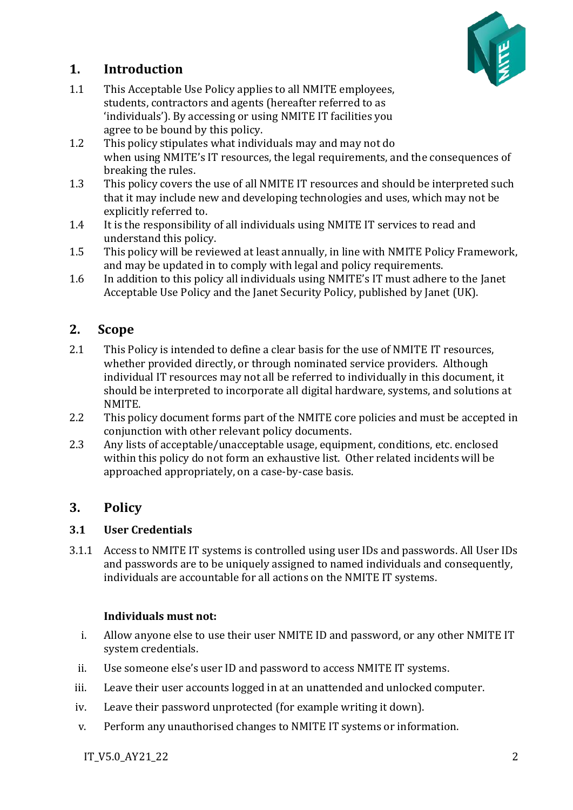

## <span id="page-1-0"></span>**1. Introduction**

- 1.1 This Acceptable Use Policy applies to all NMITE employees, students, contractors and agents (hereafter referred to as 'individuals'). By accessing or using NMITE IT facilities you agree to be bound by this policy.
- 1.2 This policy stipulates what individuals may and may not do when using NMITE's IT resources, the legal requirements, and the consequences of breaking the rules.
- 1.3 This policy covers the use of all NMITE IT resources and should be interpreted such that it may include new and developing technologies and uses, which may not be explicitly referred to.
- 1.4 It is the responsibility of all individuals using NMITE IT services to read and understand this policy.
- 1.5 This policy will be reviewed at least annually, in line with NMITE Policy Framework, and may be updated in to comply with legal and policy requirements.
- 1.6 In addition to this policy all individuals using NMITE's IT must adhere to the [Janet](https://community.jisc.ac.uk/library/acceptable-use-policy) [Acceptable Use Policy](https://community.jisc.ac.uk/library/acceptable-use-policy) and the [Janet Security Policy,](https://community.jisc.ac.uk/library/janet-policies/security-policy) published by Janet (UK).

## <span id="page-1-1"></span>**2. Scope**

- 2.1 This Policy is intended to define a clear basis for the use of NMITE IT resources, whether provided directly, or through nominated service providers. Although individual IT resources may not all be referred to individually in this document, it should be interpreted to incorporate all digital hardware, systems, and solutions at NMITE.
- 2.2 This policy document forms part of the NMITE core policies and must be accepted in conjunction with other relevant policy documents.
- 2.3 Any lists of acceptable/unacceptable usage, equipment, conditions, etc. enclosed within this policy do not form an exhaustive list. Other related incidents will be approached appropriately, on a case-by-case basis.

## <span id="page-1-2"></span>**3. Policy**

## <span id="page-1-3"></span>**3.1 User Credentials**

3.1.1 Access to NMITE IT systems is controlled using user IDs and passwords. All User IDs and passwords are to be uniquely assigned to named individuals and consequently, individuals are accountable for all actions on the NMITE IT systems.

#### **Individuals must not:**

- i. Allow anyone else to use their user NMITE ID and password, or any other NMITE IT system credentials.
- ii. Use someone else's user ID and password to access NMITE IT systems.
- iii. Leave their user accounts logged in at an unattended and unlocked computer.
- iv. Leave their password unprotected (for example writing it down).
- v. Perform any unauthorised changes to NMITE IT systems or information.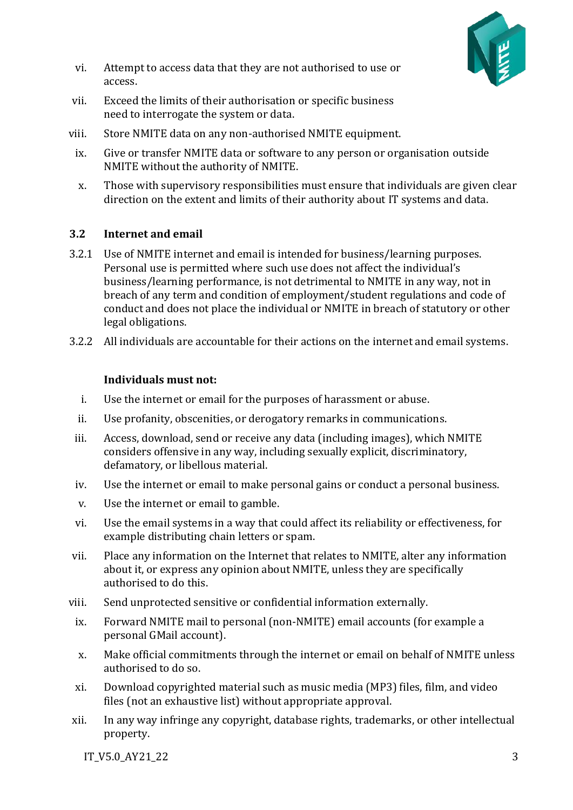

- vi. Attempt to access data that they are not authorised to use or access.
- vii. Exceed the limits of their authorisation or specific business need to interrogate the system or data.
- viii. Store NMITE data on any non-authorised NMITE equipment.
	- ix. Give or transfer NMITE data or software to any person or organisation outside NMITE without the authority of NMITE.
	- x. Those with supervisory responsibilities must ensure that individuals are given clear direction on the extent and limits of their authority about IT systems and data.

#### <span id="page-2-0"></span>**3.2 Internet and email**

- 3.2.1 Use of NMITE internet and email is intended for business/learning purposes. Personal use is permitted where such use does not affect the individual's business/learning performance, is not detrimental to NMITE in any way, not in breach of any term and condition of employment/student regulations and code of conduct and does not place the individual or NMITE in breach of statutory or other legal obligations.
- 3.2.2 All individuals are accountable for their actions on the internet and email systems.

#### **Individuals must not:**

- i. Use the internet or email for the purposes of harassment or abuse.
- ii. Use profanity, obscenities, or derogatory remarks in communications.
- iii. Access, download, send or receive any data (including images), which NMITE considers offensive in any way, including sexually explicit, discriminatory, defamatory, or libellous material.
- iv. Use the internet or email to make personal gains or conduct a personal business.
- v. Use the internet or email to gamble.
- vi. Use the email systems in a way that could affect its reliability or effectiveness, for example distributing chain letters or spam.
- vii. Place any information on the Internet that relates to NMITE, alter any information about it, or express any opinion about NMITE, unless they are specifically authorised to do this.
- viii. Send unprotected sensitive or confidential information externally.
	- ix. Forward NMITE mail to personal (non-NMITE) email accounts (for example a personal GMail account).
	- x. Make official commitments through the internet or email on behalf of NMITE unless authorised to do so.
	- xi. Download copyrighted material such as music media (MP3) files, film, and video files (not an exhaustive list) without appropriate approval.
- xii. In any way infringe any copyright, database rights, trademarks, or other intellectual property.

IT\_V5.0\_AY21\_22 3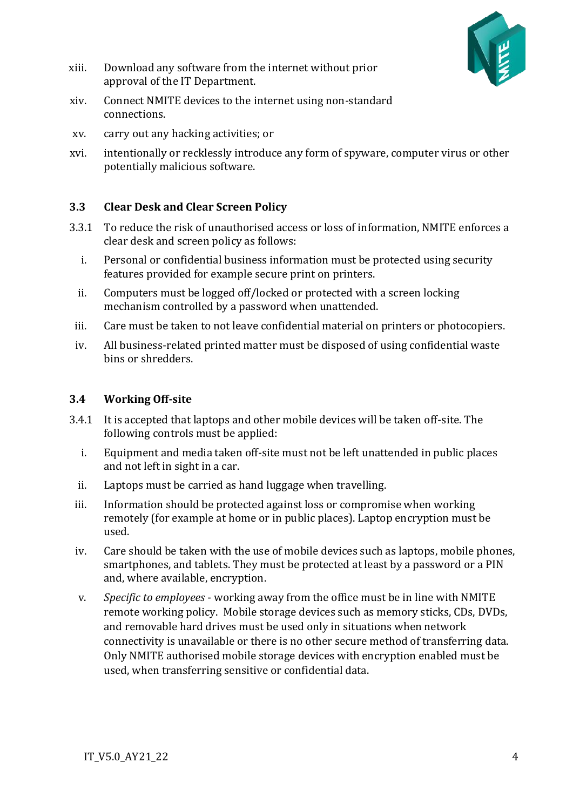

- xiii. Download any software from the internet without prior approval of the IT Department.
- xiv. Connect NMITE devices to the internet using non-standard connections.
- xv. carry out any hacking activities; or
- xvi. intentionally or recklessly introduce any form of spyware, computer virus or other potentially malicious software.

#### <span id="page-3-0"></span>**3.3 Clear Desk and Clear Screen Policy**

- 3.3.1 To reduce the risk of unauthorised access or loss of information, NMITE enforces a clear desk and screen policy as follows:
	- i. Personal or confidential business information must be protected using security features provided for example secure print on printers.
	- ii. Computers must be logged off/locked or protected with a screen locking mechanism controlled by a password when unattended.
- iii. Care must be taken to not leave confidential material on printers or photocopiers.
- iv. All business-related printed matter must be disposed of using confidential waste bins or shredders.

#### <span id="page-3-1"></span>**3.4 Working Off-site**

- 3.4.1 It is accepted that laptops and other mobile devices will be taken off-site. The following controls must be applied:
	- i. Equipment and media taken off-site must not be left unattended in public places and not left in sight in a car.
	- ii. Laptops must be carried as hand luggage when travelling.
	- iii. Information should be protected against loss or compromise when working remotely (for example at home or in public places). Laptop encryption must be used.
	- iv. Care should be taken with the use of mobile devices such as laptops, mobile phones, smartphones, and tablets. They must be protected at least by a password or a PIN and, where available, encryption.
	- v. *Specific to employees* working away from the office must be in line with NMITE remote working policy. Mobile storage devices such as memory sticks, CDs, DVDs, and removable hard drives must be used only in situations when network connectivity is unavailable or there is no other secure method of transferring data. Only NMITE authorised mobile storage devices with encryption enabled must be used, when transferring sensitive or confidential data.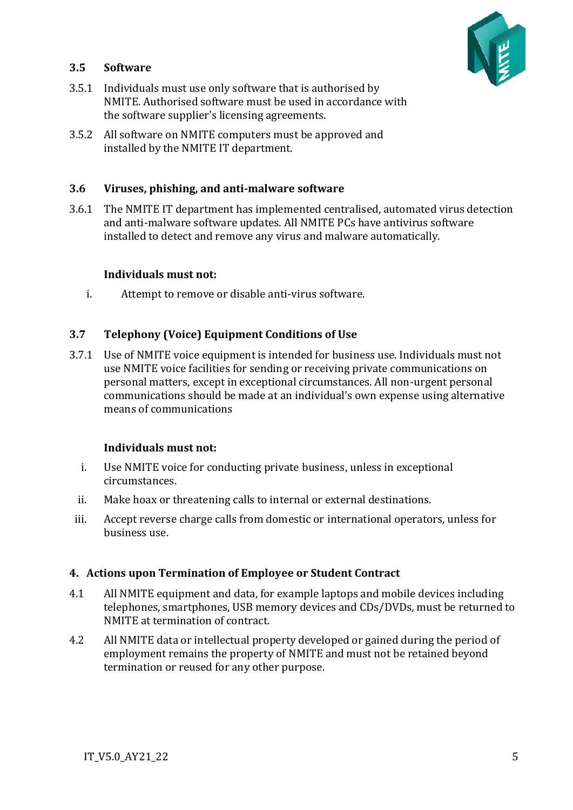

#### <span id="page-4-0"></span>**3.5 Software**

- 3.5.1 Individuals must use only software that is authorised by NMITE. Authorised software must be used in accordance with the software supplier's licensing agreements.
- 3.5.2 All software on NMITE computers must be approved and installed by the NMITE IT department.

#### <span id="page-4-1"></span>**3.6 Viruses, phishing, and anti-malware software**

3.6.1 The NMITE IT department has implemented centralised, automated virus detection and anti-malware software updates. All NMITE PCs have antivirus software installed to detect and remove any virus and malware automatically.

#### **Individuals must not:**

i. Attempt to remove or disable anti-virus software.

#### <span id="page-4-2"></span>**3.7 Telephony (Voice) Equipment Conditions of Use**

3.7.1 Use of NMITE voice equipment is intended for business use. Individuals must not use NMITE voice facilities for sending or receiving private communications on personal matters, except in exceptional circumstances. All non-urgent personal communications should be made at an individual's own expense using alternative means of communications

#### **Individuals must not:**

- i. Use NMITE voice for conducting private business, unless in exceptional circumstances.
- ii. Make hoax or threatening calls to internal or external destinations.
- iii. Accept reverse charge calls from domestic or international operators, unless for business use.

#### <span id="page-4-3"></span>**4. Actions upon Termination of Employee or Student Contract**

- 4.1 All NMITE equipment and data, for example laptops and mobile devices including telephones, smartphones, USB memory devices and CDs/DVDs, must be returned to NMITE at termination of contract.
- 4.2 All NMITE data or intellectual property developed or gained during the period of employment remains the property of NMITE and must not be retained beyond termination or reused for any other purpose.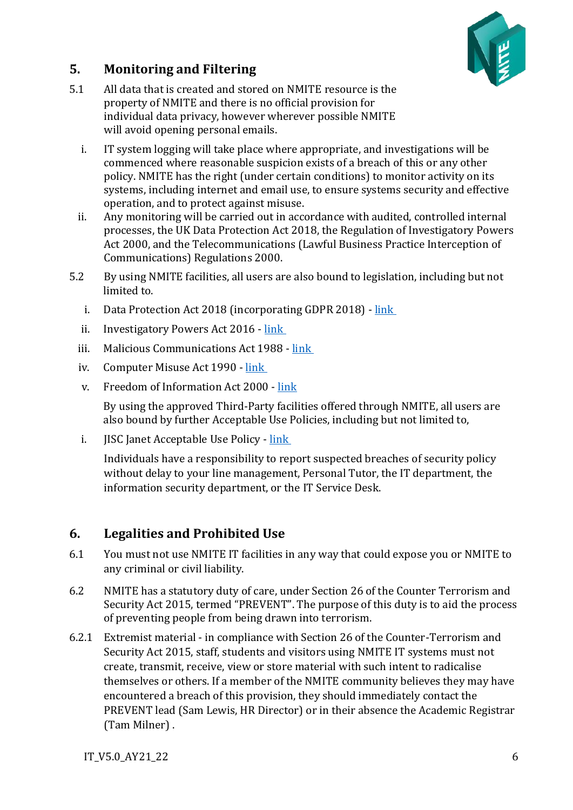

## <span id="page-5-0"></span>**5. Monitoring and Filtering**

- 5.1 All data that is created and stored on NMITE resource is the property of NMITE and there is no official provision for individual data privacy, however wherever possible NMITE will avoid opening personal emails.
	- i. IT system logging will take place where appropriate, and investigations will be commenced where reasonable suspicion exists of a breach of this or any other policy. NMITE has the right (under certain conditions) to monitor activity on its systems, including internet and email use, to ensure systems security and effective operation, and to protect against misuse.
	- ii. Any monitoring will be carried out in accordance with audited, controlled internal processes, the UK Data Protection Act 2018, the Regulation of Investigatory Powers Act 2000, and the Telecommunications (Lawful Business Practice Interception of Communications) Regulations 2000.
- 5.2 By using NMITE facilities, all users are also bound to legislation, including but not limited to.
	- i. Data Protection Act 2018 (incorporating GDPR 2018) [link](http://www.legislation.gov.uk/ukpga/2018/12/contents/enacted)
	- ii. Investigatory Powers Act 2016 [link](http://www.legislation.gov.uk/ukpga/2016/25/contents/enacted)
	- iii. Malicious Communications Act 1988 [link](http://www.legislation.gov.uk/ukpga/1988/27)
	- iv. Computer Misuse Act 1990 [link](http://www.legislation.gov.uk/ukpga/1990/18/contents)
	- v. Freedom of Information Act 2000 [link](http://www.legislation.gov.uk/ukpga/2000/36/contents)

By using the approved Third-Party facilities offered through NMITE, all users are also bound by further Acceptable Use Policies, including but not limited to,

i. JISC Janet Acceptable Use Policy - [link](https://community.jisc.ac.uk/printpdf/120)

Individuals have a responsibility to report suspected breaches of security policy without delay to your line management, Personal Tutor, the IT department, the information security department, or the IT Service Desk.

## <span id="page-5-1"></span>**6. Legalities and Prohibited Use**

- 6.1 You must not use NMITE IT facilities in any way that could expose you or NMITE to any criminal or civil liability.
- 6.2 NMITE has a statutory duty of care, under Section 26 of the Counter Terrorism and Security Act 2015, termed "PREVENT". The purpose of this duty is to aid the process of preventing people from being drawn into terrorism.
- 6.2.1 Extremist material in compliance with Section 26 of the Counter-Terrorism and Security Act 2015, staff, students and visitors using NMITE IT systems must not create, transmit, receive, view or store material with such intent to radicalise themselves or others. If a member of the NMITE community believes they may have encountered a breach of this provision, they should immediately contact the PREVENT lead (Sam Lewis, HR Director) or in their absence the Academic Registrar (Tam Milner) .